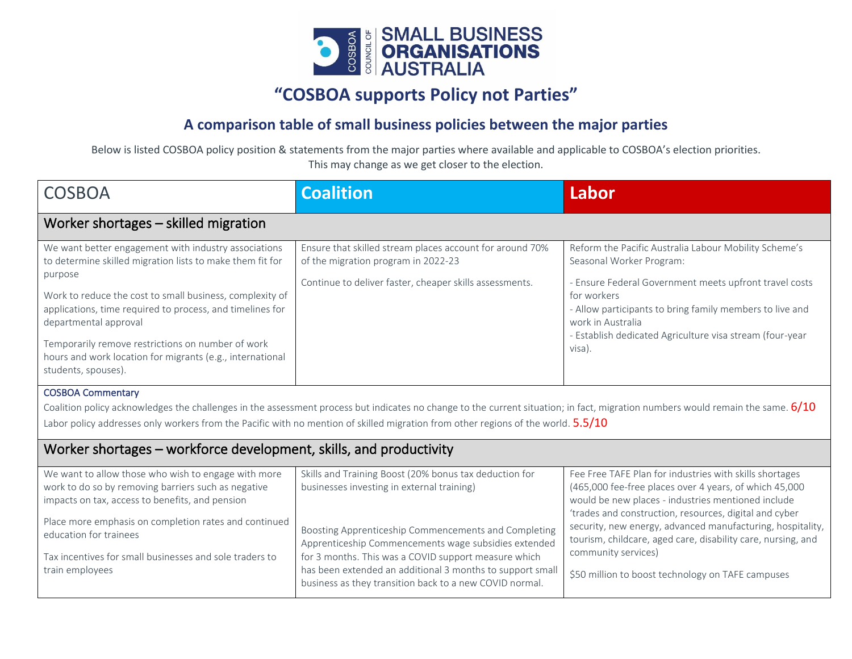

# **"COSBOA supports Policy not Parties"**

# **A comparison table of small business policies between the major parties**

Below is listed COSBOA policy position & statements from the major parties where available and applicable to COSBOA's election priorities. This may change as we get closer to the election.

| <b>COSBOA</b>                                                                                                                                                                                                                                                                                                                                                                                                           | <b>Coalition</b>                                                                                                                                                                                                                                                                                                                                                                                     | Labor                                                                                                                                                                                                                                                                                                                                                                                                                                       |
|-------------------------------------------------------------------------------------------------------------------------------------------------------------------------------------------------------------------------------------------------------------------------------------------------------------------------------------------------------------------------------------------------------------------------|------------------------------------------------------------------------------------------------------------------------------------------------------------------------------------------------------------------------------------------------------------------------------------------------------------------------------------------------------------------------------------------------------|---------------------------------------------------------------------------------------------------------------------------------------------------------------------------------------------------------------------------------------------------------------------------------------------------------------------------------------------------------------------------------------------------------------------------------------------|
| Worker shortages - skilled migration                                                                                                                                                                                                                                                                                                                                                                                    |                                                                                                                                                                                                                                                                                                                                                                                                      |                                                                                                                                                                                                                                                                                                                                                                                                                                             |
| We want better engagement with industry associations<br>to determine skilled migration lists to make them fit for<br>purpose<br>Work to reduce the cost to small business, complexity of<br>applications, time required to process, and timelines for<br>departmental approval<br>Temporarily remove restrictions on number of work<br>hours and work location for migrants (e.g., international<br>students, spouses). | Ensure that skilled stream places account for around 70%<br>of the migration program in 2022-23<br>Continue to deliver faster, cheaper skills assessments.                                                                                                                                                                                                                                           | Reform the Pacific Australia Labour Mobility Scheme's<br>Seasonal Worker Program:<br>- Ensure Federal Government meets upfront travel costs<br>for workers<br>- Allow participants to bring family members to live and<br>work in Australia<br>- Establish dedicated Agriculture visa stream (four-year<br>visa).                                                                                                                           |
| <b>COSBOA Commentary</b>                                                                                                                                                                                                                                                                                                                                                                                                | Coalition policy acknowledges the challenges in the assessment process but indicates no change to the current situation; in fact, migration numbers would remain the same. $6/10$<br>Labor policy addresses only workers from the Pacific with no mention of skilled migration from other regions of the world. $5.5/10$                                                                             |                                                                                                                                                                                                                                                                                                                                                                                                                                             |
| Worker shortages – workforce development, skills, and productivity                                                                                                                                                                                                                                                                                                                                                      |                                                                                                                                                                                                                                                                                                                                                                                                      |                                                                                                                                                                                                                                                                                                                                                                                                                                             |
| We want to allow those who wish to engage with more<br>work to do so by removing barriers such as negative<br>impacts on tax, access to benefits, and pension<br>Place more emphasis on completion rates and continued<br>education for trainees<br>Tax incentives for small businesses and sole traders to<br>train employees                                                                                          | Skills and Training Boost (20% bonus tax deduction for<br>businesses investing in external training)<br>Boosting Apprenticeship Commencements and Completing<br>Apprenticeship Commencements wage subsidies extended<br>for 3 months. This was a COVID support measure which<br>has been extended an additional 3 months to support small<br>business as they transition back to a new COVID normal. | Fee Free TAFE Plan for industries with skills shortages<br>(465,000 fee-free places over 4 years, of which 45,000<br>would be new places - industries mentioned include<br>'trades and construction, resources, digital and cyber<br>security, new energy, advanced manufacturing, hospitality,<br>tourism, childcare, aged care, disability care, nursing, and<br>community services)<br>\$50 million to boost technology on TAFE campuses |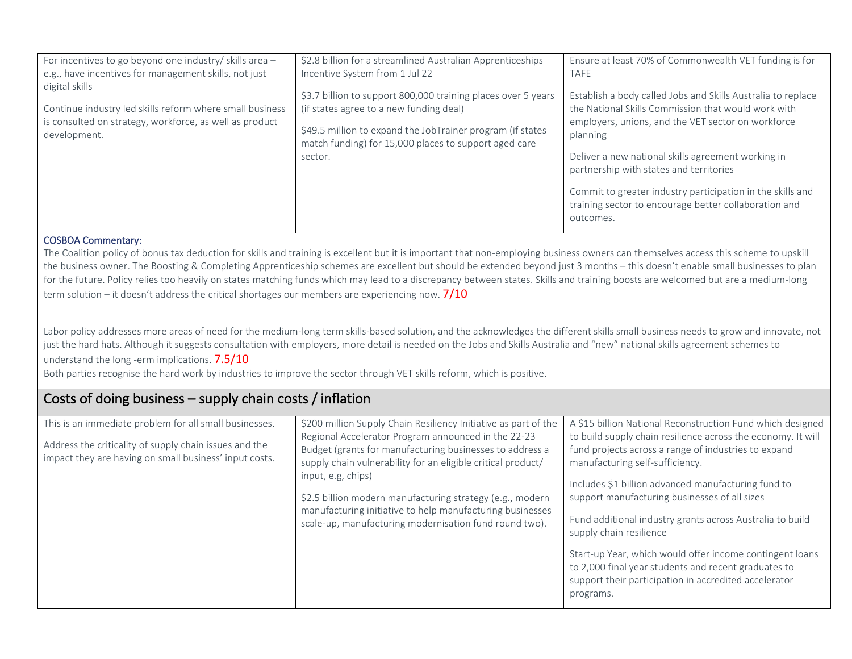| For incentives to go beyond one industry/ skills area -  | \$2.8 billion for a streamlined Australian Apprenticeships    | Ensure at least 70% of Commonwealth VET funding is for                                                                                                                                                                            |
|----------------------------------------------------------|---------------------------------------------------------------|-----------------------------------------------------------------------------------------------------------------------------------------------------------------------------------------------------------------------------------|
| e.g., have incentives for management skills, not just    | Incentive System from 1 Jul 22                                | TAFE                                                                                                                                                                                                                              |
| digital skills                                           | \$3.7 billion to support 800,000 training places over 5 years | Establish a body called Jobs and Skills Australia to replace                                                                                                                                                                      |
| Continue industry led skills reform where small business | (if states agree to a new funding deal)                       | the National Skills Commission that would work with                                                                                                                                                                               |
| is consulted on strategy, workforce, as well as product  | \$49.5 million to expand the JobTrainer program (if states    | employers, unions, and the VET sector on workforce                                                                                                                                                                                |
| development.                                             | match funding) for 15,000 places to support aged care         | planning                                                                                                                                                                                                                          |
|                                                          | sector.                                                       | Deliver a new national skills agreement working in<br>partnership with states and territories<br>Commit to greater industry participation in the skills and<br>training sector to encourage better collaboration and<br>outcomes. |

The Coalition policy of bonus tax deduction for skills and training is excellent but it is important that non-employing business owners can themselves access this scheme to upskill the business owner. The Boosting & Completing Apprenticeship schemes are excellent but should be extended beyond just 3 months – this doesn't enable small businesses to plan for the future. Policy relies too heavily on states matching funds which may lead to a discrepancy between states. Skills and training boosts are welcomed but are a medium-long term solution – it doesn't address the critical shortages our members are experiencing now. 7/10

Labor policy addresses more areas of need for the medium-long term skills-based solution, and the acknowledges the different skills small business needs to grow and innovate, not just the hard hats. Although it suggests consultation with employers, more detail is needed on the Jobs and Skills Australia and "new" national skills agreement schemes to understand the long -erm implications. 7.5/10

Both parties recognise the hard work by industries to improve the sector through VET skills reform, which is positive.

# Costs of doing business – supply chain costs / inflation

| This is an immediate problem for all small businesses.<br>Address the criticality of supply chain issues and the<br>impact they are having on small business' input costs. | \$200 million Supply Chain Resiliency Initiative as part of the<br>Regional Accelerator Program announced in the 22-23<br>Budget (grants for manufacturing businesses to address a<br>supply chain vulnerability for an eligible critical product/<br>input, e.g, chips)<br>\$2.5 billion modern manufacturing strategy (e.g., modern<br>manufacturing initiative to help manufacturing businesses<br>scale-up, manufacturing modernisation fund round two). | A \$15 billion National Reconstruction Fund which designed<br>to build supply chain resilience across the economy. It will<br>fund projects across a range of industries to expand<br>manufacturing self-sufficiency.<br>Includes \$1 billion advanced manufacturing fund to<br>support manufacturing businesses of all sizes<br>Fund additional industry grants across Australia to build<br>supply chain resilience<br>Start-up Year, which would offer income contingent loans<br>to 2,000 final year students and recent graduates to<br>support their participation in accredited accelerator |
|----------------------------------------------------------------------------------------------------------------------------------------------------------------------------|--------------------------------------------------------------------------------------------------------------------------------------------------------------------------------------------------------------------------------------------------------------------------------------------------------------------------------------------------------------------------------------------------------------------------------------------------------------|----------------------------------------------------------------------------------------------------------------------------------------------------------------------------------------------------------------------------------------------------------------------------------------------------------------------------------------------------------------------------------------------------------------------------------------------------------------------------------------------------------------------------------------------------------------------------------------------------|
|                                                                                                                                                                            |                                                                                                                                                                                                                                                                                                                                                                                                                                                              | programs.                                                                                                                                                                                                                                                                                                                                                                                                                                                                                                                                                                                          |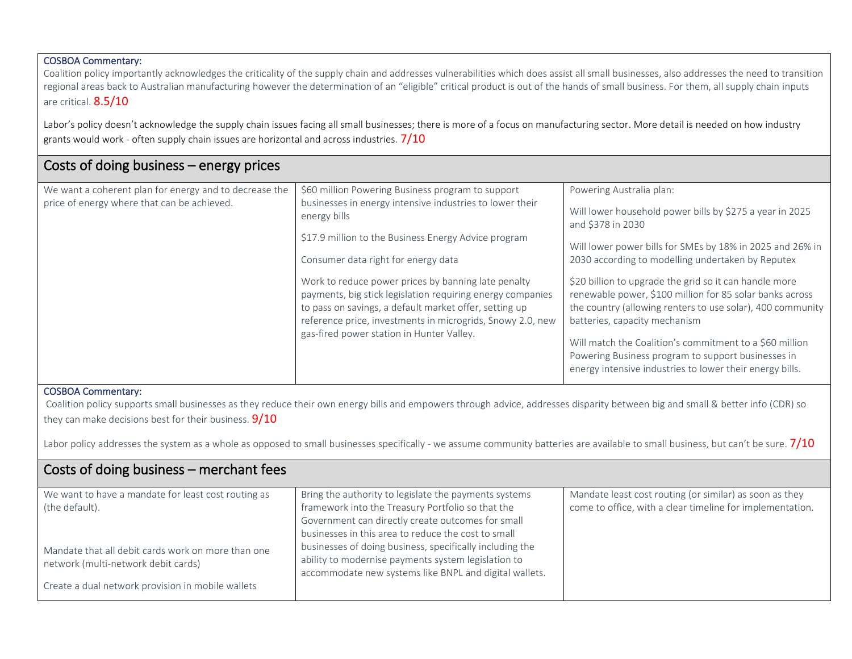Coalition policy importantly acknowledges the criticality of the supply chain and addresses vulnerabilities which does assist all small businesses, also addresses the need to transition regional areas back to Australian manufacturing however the determination of an "eligible" critical product is out of the hands of small business. For them, all supply chain inputs are critical. 8.5/10

Labor's policy doesn't acknowledge the supply chain issues facing all small businesses; there is more of a focus on manufacturing sector. More detail is needed on how industry grants would work - often supply chain issues are horizontal and across industries.  $7/10$ 

| Costs of doing business – energy prices                                                               |                                                                                                                                                                                                                                                                                                                                                                                                                                                                                                                        |                                                                                                                                                                                                                                                                                                                                                                                                                                                                                                                                                                                                                               |
|-------------------------------------------------------------------------------------------------------|------------------------------------------------------------------------------------------------------------------------------------------------------------------------------------------------------------------------------------------------------------------------------------------------------------------------------------------------------------------------------------------------------------------------------------------------------------------------------------------------------------------------|-------------------------------------------------------------------------------------------------------------------------------------------------------------------------------------------------------------------------------------------------------------------------------------------------------------------------------------------------------------------------------------------------------------------------------------------------------------------------------------------------------------------------------------------------------------------------------------------------------------------------------|
| We want a coherent plan for energy and to decrease the<br>price of energy where that can be achieved. | \$60 million Powering Business program to support<br>businesses in energy intensive industries to lower their<br>energy bills<br>\$17.9 million to the Business Energy Advice program<br>Consumer data right for energy data<br>Work to reduce power prices by banning late penalty<br>payments, big stick legislation requiring energy companies<br>to pass on savings, a default market offer, setting up<br>reference price, investments in microgrids, Snowy 2.0, new<br>gas-fired power station in Hunter Valley. | Powering Australia plan:<br>Will lower household power bills by \$275 a year in 2025<br>and \$378 in 2030<br>Will lower power bills for SMEs by 18% in 2025 and 26% in<br>2030 according to modelling undertaken by Reputex<br>\$20 billion to upgrade the grid so it can handle more<br>renewable power, \$100 million for 85 solar banks across<br>the country (allowing renters to use solar), 400 community<br>batteries, capacity mechanism<br>Will match the Coalition's commitment to a \$60 million<br>Powering Business program to support businesses in<br>energy intensive industries to lower their energy bills. |

#### COSBOA Commentary:

Coalition policy supports small businesses as they reduce their own energy bills and empowers through advice, addresses disparity between big and small & better info (CDR) so they can make decisions best for their business. 9/10

Labor policy addresses the system as a whole as opposed to small businesses specifically - we assume community batteries are available to small business, but can't be sure.  $7/10$ 

| Costs of doing business – merchant fees             |                                                          |                                                           |
|-----------------------------------------------------|----------------------------------------------------------|-----------------------------------------------------------|
| We want to have a mandate for least cost routing as | Bring the authority to legislate the payments systems    | Mandate least cost routing (or similar) as soon as they   |
| (the default).                                      | framework into the Treasury Portfolio so that the        | come to office, with a clear timeline for implementation. |
|                                                     | Government can directly create outcomes for small        |                                                           |
|                                                     | businesses in this area to reduce the cost to small      |                                                           |
| Mandate that all debit cards work on more than one  | businesses of doing business, specifically including the |                                                           |
| network (multi-network debit cards)                 | ability to modernise payments system legislation to      |                                                           |
|                                                     | accommodate new systems like BNPL and digital wallets.   |                                                           |
| Create a dual network provision in mobile wallets   |                                                          |                                                           |
|                                                     |                                                          |                                                           |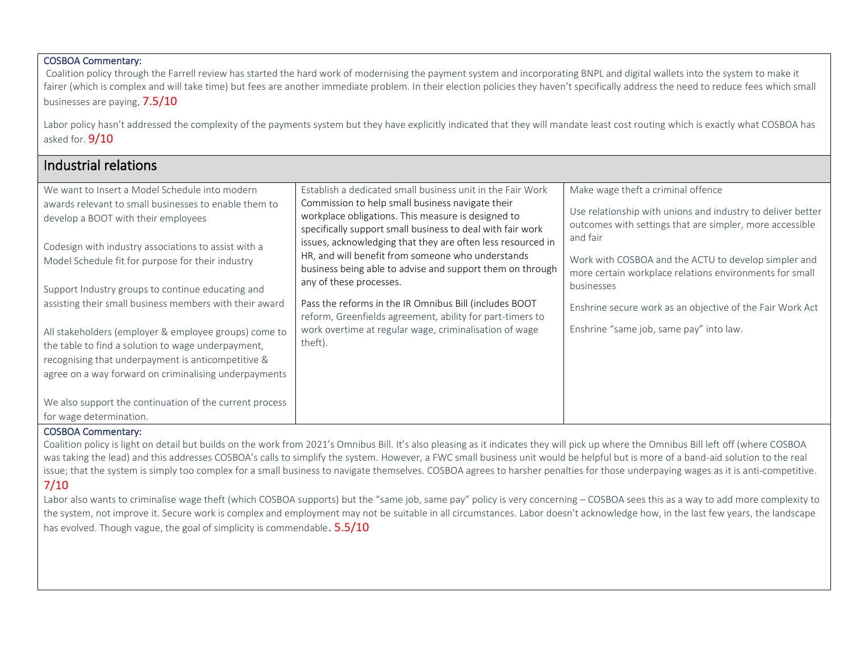Coalition policy through the Farrell review has started the hard work of modernising the payment system and incorporating BNPL and digital wallets into the system to make it fairer (which is complex and will take time) but fees are another immediate problem. In their election policies they haven't specifically address the need to reduce fees which small businesses are paying. 7.5/10

Labor policy hasn't addressed the complexity of the payments system but they have explicitly indicated that they will mandate least cost routing which is exactly what COSBOA has asked for. **9/10** 

| Industrial relations                                                                                                                                                                                                       |                                                                                                                                                                                                          |                                                                                                                                     |
|----------------------------------------------------------------------------------------------------------------------------------------------------------------------------------------------------------------------------|----------------------------------------------------------------------------------------------------------------------------------------------------------------------------------------------------------|-------------------------------------------------------------------------------------------------------------------------------------|
| We want to Insert a Model Schedule into modern                                                                                                                                                                             | Establish a dedicated small business unit in the Fair Work                                                                                                                                               | Make wage theft a criminal offence                                                                                                  |
| awards relevant to small businesses to enable them to<br>develop a BOOT with their employees                                                                                                                               | Commission to help small business navigate their<br>workplace obligations. This measure is designed to<br>specifically support small business to deal with fair work                                     | Use relationship with unions and industry to deliver better<br>outcomes with settings that are simpler, more accessible<br>and fair |
| Codesign with industry associations to assist with a<br>Model Schedule fit for purpose for their industry                                                                                                                  | issues, acknowledging that they are often less resourced in<br>HR, and will benefit from someone who understands<br>business being able to advise and support them on through<br>any of these processes. | Work with COSBOA and the ACTU to develop simpler and<br>more certain workplace relations environments for small                     |
| Support Industry groups to continue educating and                                                                                                                                                                          |                                                                                                                                                                                                          | businesses                                                                                                                          |
| assisting their small business members with their award                                                                                                                                                                    | Pass the reforms in the IR Omnibus Bill (includes BOOT<br>reform, Greenfields agreement, ability for part-timers to                                                                                      | Enshrine secure work as an objective of the Fair Work Act                                                                           |
| All stakeholders (employer & employee groups) come to<br>the table to find a solution to wage underpayment,<br>recognising that underpayment is anticompetitive &<br>agree on a way forward on criminalising underpayments | work overtime at regular wage, criminalisation of wage<br>theft).                                                                                                                                        | Enshrine "same job, same pay" into law.                                                                                             |
| We also support the continuation of the current process<br>for wage determination.                                                                                                                                         |                                                                                                                                                                                                          |                                                                                                                                     |

#### COSBOA Commentary:

Coalition policy is light on detail but builds on the work from 2021's Omnibus Bill. It's also pleasing as it indicates they will pick up where the Omnibus Bill left off (where COSBOA was taking the lead) and this addresses COSBOA's calls to simplify the system. However, a FWC small business unit would be helpful but is more of a band-aid solution to the real issue; that the system is simply too complex for a small business to navigate themselves. COSBOA agrees to harsher penalties for those underpaying wages as it is anti-competitive. 7/10

Labor also wants to criminalise wage theft (which COSBOA supports) but the "same job, same pay" policy is very concerning – COSBOA sees this as a way to add more complexity to the system, not improve it. Secure work is complex and employment may not be suitable in all circumstances. Labor doesn't acknowledge how, in the last few years, the landscape has evolved. Though vague, the goal of simplicity is commendable. 5.5/10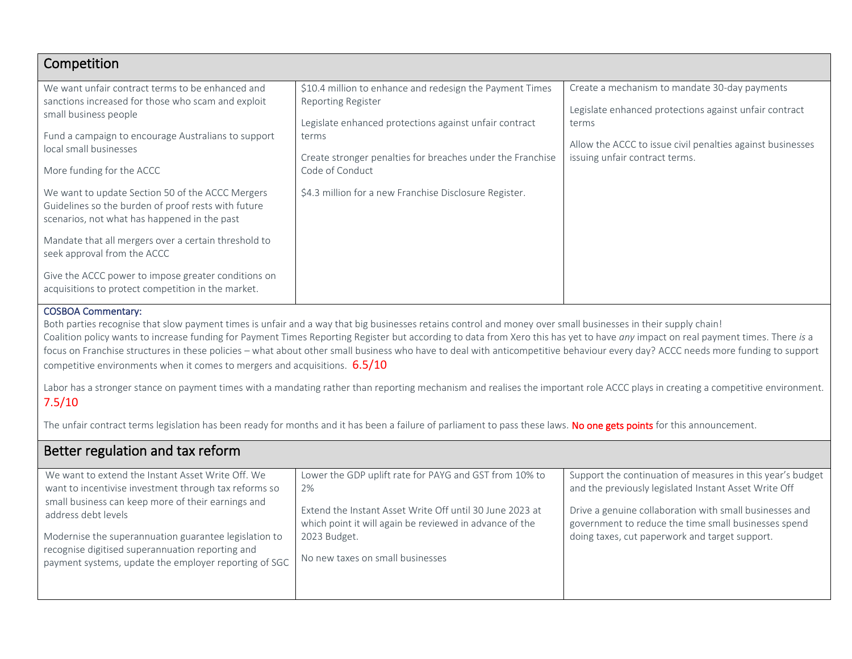| Competition                                                                                                                                             |                                                                                                                                          |                                                                                                                  |
|---------------------------------------------------------------------------------------------------------------------------------------------------------|------------------------------------------------------------------------------------------------------------------------------------------|------------------------------------------------------------------------------------------------------------------|
| We want unfair contract terms to be enhanced and<br>sanctions increased for those who scam and exploit<br>small business people                         | \$10.4 million to enhance and redesign the Payment Times<br>Reporting Register<br>Legislate enhanced protections against unfair contract | Create a mechanism to mandate 30-day payments<br>Legislate enhanced protections against unfair contract<br>terms |
| Fund a campaign to encourage Australians to support<br>local small businesses<br>More funding for the ACCC                                              | terms<br>Create stronger penalties for breaches under the Franchise<br>Code of Conduct                                                   | Allow the ACCC to issue civil penalties against businesses<br>issuing unfair contract terms.                     |
| We want to update Section 50 of the ACCC Mergers<br>Guidelines so the burden of proof rests with future<br>scenarios, not what has happened in the past | \$4.3 million for a new Franchise Disclosure Register.                                                                                   |                                                                                                                  |
| Mandate that all mergers over a certain threshold to<br>seek approval from the ACCC                                                                     |                                                                                                                                          |                                                                                                                  |
| Give the ACCC power to impose greater conditions on<br>acquisitions to protect competition in the market.                                               |                                                                                                                                          |                                                                                                                  |

Both parties recognise that slow payment times is unfair and a way that big businesses retains control and money over small businesses in their supply chain! Coalition policy wants to increase funding for Payment Times Reporting Register but according to data from Xero this has yet to have *any* impact on real payment times. There *is* a focus on Franchise structures in these policies – what about other small business who have to deal with anticompetitive behaviour every day? ACCC needs more funding to support competitive environments when it comes to mergers and acquisitions. 6.5/10

Labor has a stronger stance on payment times with a mandating rather than reporting mechanism and realises the important role ACCC plays in creating a competitive environment. 7.5/10

The unfair contract terms legislation has been ready for months and it has been a failure of parliament to pass these laws. No one gets points for this announcement.

| Better regulation and tax reform                                                                            |                                                                                                                     |                                                                                                                 |
|-------------------------------------------------------------------------------------------------------------|---------------------------------------------------------------------------------------------------------------------|-----------------------------------------------------------------------------------------------------------------|
| We want to extend the Instant Asset Write Off. We                                                           | Lower the GDP uplift rate for PAYG and GST from 10% to                                                              | Support the continuation of measures in this year's budget                                                      |
| want to incentivise investment through tax reforms so<br>small business can keep more of their earnings and | 2%                                                                                                                  | and the previously legislated Instant Asset Write Off                                                           |
| address debt levels                                                                                         | Extend the Instant Asset Write Off until 30 June 2023 at<br>which point it will again be reviewed in advance of the | Drive a genuine collaboration with small businesses and<br>government to reduce the time small businesses spend |
| Modernise the superannuation guarantee legislation to                                                       | 2023 Budget.                                                                                                        | doing taxes, cut paperwork and target support.                                                                  |
| recognise digitised superannuation reporting and<br>payment systems, update the employer reporting of SGC   | No new taxes on small businesses                                                                                    |                                                                                                                 |
|                                                                                                             |                                                                                                                     |                                                                                                                 |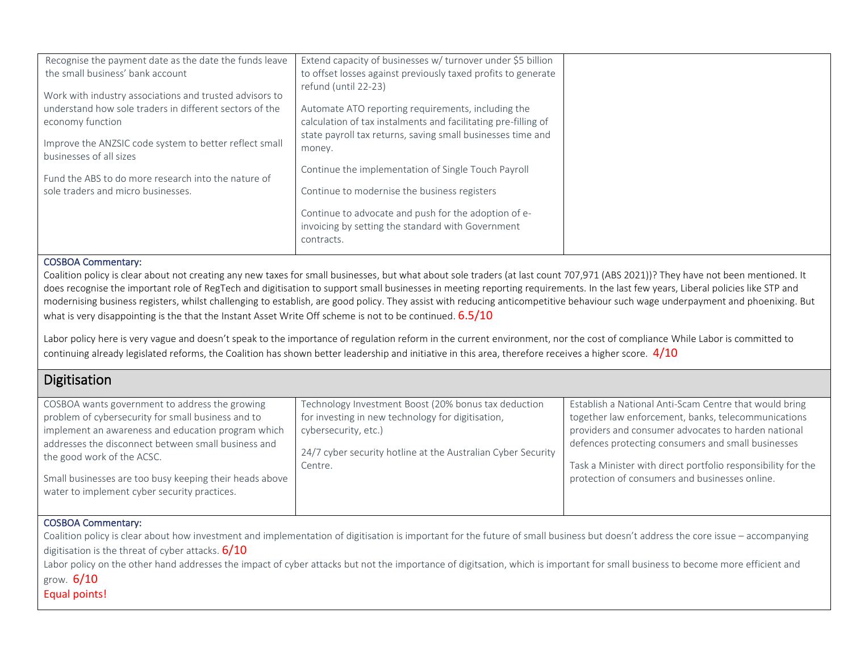| Recognise the payment date as the date the funds leave<br>the small business' bank account                                             | Extend capacity of businesses w/ turnover under \$5 billion<br>to offset losses against previously taxed profits to generate                 |  |
|----------------------------------------------------------------------------------------------------------------------------------------|----------------------------------------------------------------------------------------------------------------------------------------------|--|
| Work with industry associations and trusted advisors to<br>understand how sole traders in different sectors of the<br>economy function | refund (until 22-23)<br>Automate ATO reporting requirements, including the<br>calculation of tax instalments and facilitating pre-filling of |  |
| Improve the ANZSIC code system to better reflect small<br>businesses of all sizes                                                      | state payroll tax returns, saving small businesses time and<br>money.                                                                        |  |
| Fund the ABS to do more research into the nature of<br>sole traders and micro businesses.                                              | Continue the implementation of Single Touch Payroll<br>Continue to modernise the business registers                                          |  |
|                                                                                                                                        | Continue to advocate and push for the adoption of e-<br>invoicing by setting the standard with Government<br>contracts.                      |  |

Coalition policy is clear about not creating any new taxes for small businesses, but what about sole traders (at last count 707,971 (ABS 2021))? They have not been mentioned. It does recognise the important role of RegTech and digitisation to support small businesses in meeting reporting requirements. In the last few years, Liberal policies like STP and modernising business registers, whilst challenging to establish, are good policy. They assist with reducing anticompetitive behaviour such wage underpayment and phoenixing. But what is very disappointing is the that the Instant Asset Write Off scheme is not to be continued.  $6.5/10$ 

Labor policy here is very vague and doesn't speak to the importance of regulation reform in the current environment, nor the cost of compliance While Labor is committed to continuing already legislated reforms, the Coalition has shown better leadership and initiative in this area, therefore receives a higher score.  $4/10$ 

### Digitisation

| COSBOA wants government to address the growing          | Technology Investment Boost (20% bonus tax deduction         | Establish a National Anti-Scam Centre that would bring       |
|---------------------------------------------------------|--------------------------------------------------------------|--------------------------------------------------------------|
| problem of cybersecurity for small business and to      | for investing in new technology for digitisation,            | together law enforcement, banks, telecommunications          |
| implement an awareness and education program which      | cybersecurity, etc.)                                         | providers and consumer advocates to harden national          |
| addresses the disconnect between small business and     |                                                              | defences protecting consumers and small businesses           |
| the good work of the ACSC.                              | 24/7 cyber security hotline at the Australian Cyber Security |                                                              |
|                                                         | Centre.                                                      | Task a Minister with direct portfolio responsibility for the |
| Small businesses are too busy keeping their heads above |                                                              | protection of consumers and businesses online.               |
| water to implement cyber security practices.            |                                                              |                                                              |
|                                                         |                                                              |                                                              |

### COSBOA Commentary:

Coalition policy is clear about how investment and implementation of digitisation is important for the future of small business but doesn't address the core issue – accompanying digitisation is the threat of cyber attacks.  $6/10$ 

Labor policy on the other hand addresses the impact of cyber attacks but not the importance of digitsation, which is important for small business to become more efficient and

grow. 6/10

Equal points!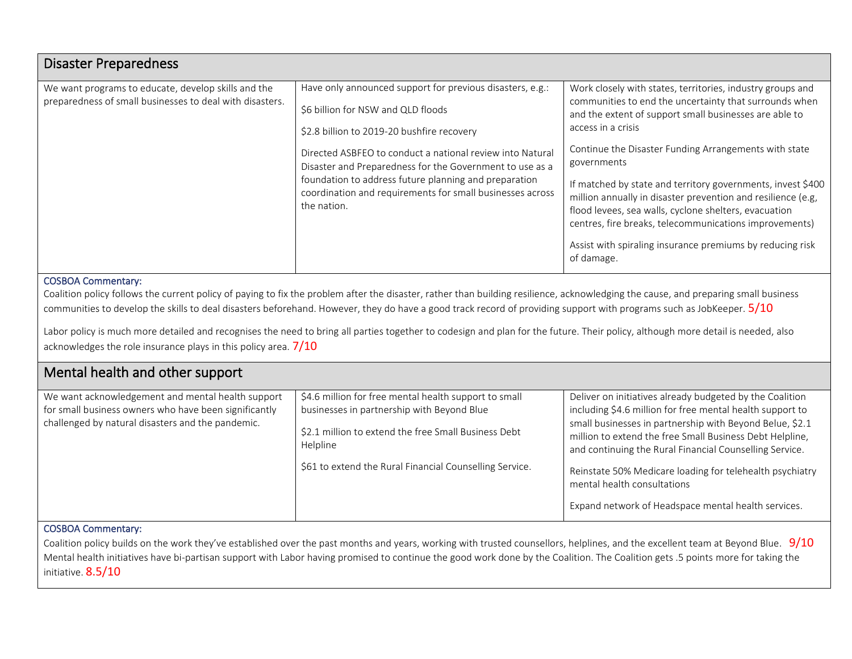| Disaster Preparedness                                                                                           |                                                                                                                                                                                                                                                                                                                                                                                                             |                                                                                                                                                                                                                                                                                                                                                                                                                                                                                                                                                                                                           |
|-----------------------------------------------------------------------------------------------------------------|-------------------------------------------------------------------------------------------------------------------------------------------------------------------------------------------------------------------------------------------------------------------------------------------------------------------------------------------------------------------------------------------------------------|-----------------------------------------------------------------------------------------------------------------------------------------------------------------------------------------------------------------------------------------------------------------------------------------------------------------------------------------------------------------------------------------------------------------------------------------------------------------------------------------------------------------------------------------------------------------------------------------------------------|
| We want programs to educate, develop skills and the<br>preparedness of small businesses to deal with disasters. | Have only announced support for previous disasters, e.g.:<br>\$6 billion for NSW and QLD floods<br>\$2.8 billion to 2019-20 bushfire recovery<br>Directed ASBFEO to conduct a national review into Natural<br>Disaster and Preparedness for the Government to use as a<br>foundation to address future planning and preparation<br>coordination and requirements for small businesses across<br>the nation. | Work closely with states, territories, industry groups and<br>communities to end the uncertainty that surrounds when<br>and the extent of support small businesses are able to<br>access in a crisis<br>Continue the Disaster Funding Arrangements with state<br>governments<br>If matched by state and territory governments, invest \$400<br>million annually in disaster prevention and resilience (e.g.<br>flood levees, sea walls, cyclone shelters, evacuation<br>centres, fire breaks, telecommunications improvements)<br>Assist with spiraling insurance premiums by reducing risk<br>of damage. |

Coalition policy follows the current policy of paying to fix the problem after the disaster, rather than building resilience, acknowledging the cause, and preparing small business communities to develop the skills to deal disasters beforehand. However, they do have a good track record of providing support with programs such as JobKeeper.  $5/10$ 

Labor policy is much more detailed and recognises the need to bring all parties together to codesign and plan for the future. Their policy, although more detail is needed, also acknowledges the role insurance plays in this policy area.  $7/10$ 

### Mental health and other support

| We want acknowledgement and mental health support<br>for small business owners who have been significantly<br>challenged by natural disasters and the pandemic. | \$4.6 million for free mental health support to small<br>businesses in partnership with Beyond Blue<br>\$2.1 million to extend the free Small Business Debt<br>Helpline<br>\$61 to extend the Rural Financial Counselling Service. | Deliver on initiatives already budgeted by the Coalition<br>including \$4.6 million for free mental health support to<br>small businesses in partnership with Beyond Belue, \$2.1<br>million to extend the free Small Business Debt Helpline,<br>and continuing the Rural Financial Counselling Service.<br>Reinstate 50% Medicare loading for telehealth psychiatry<br>mental health consultations<br>Expand network of Headspace mental health services. |
|-----------------------------------------------------------------------------------------------------------------------------------------------------------------|------------------------------------------------------------------------------------------------------------------------------------------------------------------------------------------------------------------------------------|------------------------------------------------------------------------------------------------------------------------------------------------------------------------------------------------------------------------------------------------------------------------------------------------------------------------------------------------------------------------------------------------------------------------------------------------------------|
|-----------------------------------------------------------------------------------------------------------------------------------------------------------------|------------------------------------------------------------------------------------------------------------------------------------------------------------------------------------------------------------------------------------|------------------------------------------------------------------------------------------------------------------------------------------------------------------------------------------------------------------------------------------------------------------------------------------------------------------------------------------------------------------------------------------------------------------------------------------------------------|

### COSBOA Commentary:

Coalition policy builds on the work they've established over the past months and years, working with trusted counsellors, helplines, and the excellent team at Beyond Blue.  $9/10$ Mental health initiatives have bi-partisan support with Labor having promised to continue the good work done by the Coalition. The Coalition gets .5 points more for taking the initiative. 8.5/10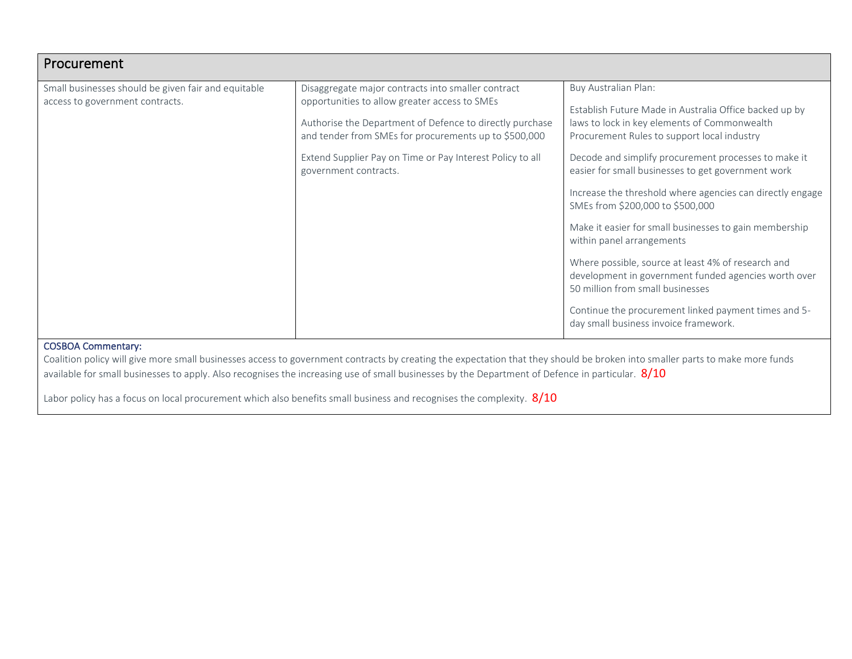| Procurement                                                                            |                                                                                                                                                                                                                                                                                                                |                                                                                                                                                                                                                                                                                                                                                                                                                                                                                                                                                                                                                                                                                                                                        |
|----------------------------------------------------------------------------------------|----------------------------------------------------------------------------------------------------------------------------------------------------------------------------------------------------------------------------------------------------------------------------------------------------------------|----------------------------------------------------------------------------------------------------------------------------------------------------------------------------------------------------------------------------------------------------------------------------------------------------------------------------------------------------------------------------------------------------------------------------------------------------------------------------------------------------------------------------------------------------------------------------------------------------------------------------------------------------------------------------------------------------------------------------------------|
| Small businesses should be given fair and equitable<br>access to government contracts. | Disaggregate major contracts into smaller contract<br>opportunities to allow greater access to SMEs<br>Authorise the Department of Defence to directly purchase<br>and tender from SMEs for procurements up to \$500,000<br>Extend Supplier Pay on Time or Pay Interest Policy to all<br>government contracts. | Buy Australian Plan:<br>Establish Future Made in Australia Office backed up by<br>laws to lock in key elements of Commonwealth<br>Procurement Rules to support local industry<br>Decode and simplify procurement processes to make it<br>easier for small businesses to get government work<br>Increase the threshold where agencies can directly engage<br>SMEs from \$200,000 to \$500,000<br>Make it easier for small businesses to gain membership<br>within panel arrangements<br>Where possible, source at least 4% of research and<br>development in government funded agencies worth over<br>50 million from small businesses<br>Continue the procurement linked payment times and 5-<br>day small business invoice framework. |
| <b>COSBOA Commentary:</b>                                                              |                                                                                                                                                                                                                                                                                                                |                                                                                                                                                                                                                                                                                                                                                                                                                                                                                                                                                                                                                                                                                                                                        |

Coalition policy will give more small businesses access to government contracts by creating the expectation that they should be broken into smaller parts to make more funds available for small businesses to apply. Also recognises the increasing use of small businesses by the Department of Defence in particular. 8/10

Labor policy has a focus on local procurement which also benefits small business and recognises the complexity. 8/10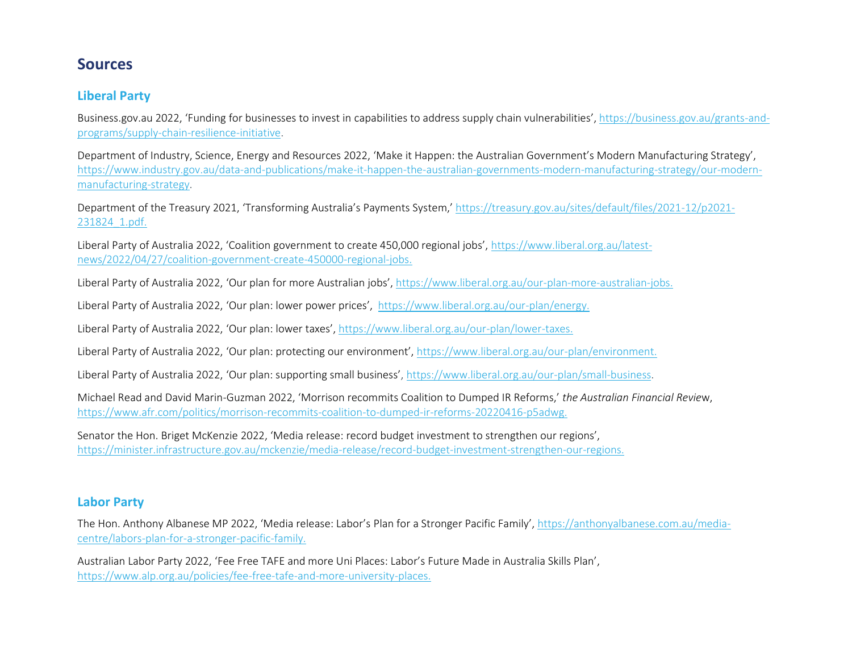## **Sources**

### **Liberal Party**

Business.gov.au 2022, 'Funding for businesses to invest in capabilities to address supply chain vulnerabilities', [https://business.gov.au/grants-and](https://business.gov.au/grants-and-programs/supply-chain-resilience-initiative)[programs/supply-chain-resilience-initiative.](https://business.gov.au/grants-and-programs/supply-chain-resilience-initiative)

Department of Industry, Science, Energy and Resources 2022, 'Make it Happen: the Australian Government's Modern Manufacturing Strategy', [https://www.industry.gov.au/data-and-publications/make-it-happen-the-australian-governments-modern-manufacturing-strategy/our-modern](https://www.industry.gov.au/data-and-publications/make-it-happen-the-australian-governments-modern-manufacturing-strategy/our-modern-manufacturing-strategy)[manufacturing-strategy.](https://www.industry.gov.au/data-and-publications/make-it-happen-the-australian-governments-modern-manufacturing-strategy/our-modern-manufacturing-strategy)

Department of the Treasury 2021, 'Transforming Australia's Payments System,' [https://treasury.gov.au/sites/default/files/2021-12/p2021-](https://treasury.gov.au/sites/default/files/2021-12/p2021-231824_1.pdf) [231824\\_1.pdf.](https://treasury.gov.au/sites/default/files/2021-12/p2021-231824_1.pdf)

Liberal Party of Australia 2022, 'Coalition government to create 450,000 regional jobs', [https://www.liberal.org.au/latest](https://www.liberal.org.au/latest-news/2022/04/27/coalition-government-create-450000-regional-jobs)[news/2022/04/27/coalition-government-create-450000-regional-jobs.](https://www.liberal.org.au/latest-news/2022/04/27/coalition-government-create-450000-regional-jobs)

Liberal Party of Australia 2022, 'Our plan for more Australian jobs', [https://www.liberal.org.au/our-plan-more-australian-jobs.](https://www.liberal.org.au/our-plan-more-australian-jobs)

Liberal Party of Australia 2022, 'Our plan: lower power prices', [https://www.liberal.org.au/our-plan/energy.](https://www.liberal.org.au/our-plan/energy)

Liberal Party of Australia 2022, 'Our plan: lower taxes', [https://www.liberal.org.au/our-plan/lower-taxes.](https://www.liberal.org.au/our-plan/lower-taxes)

Liberal Party of Australia 2022, 'Our plan: protecting our environment', [https://www.liberal.org.au/our-plan/environment.](https://www.liberal.org.au/our-plan/environment)

Liberal Party of Australia 2022, 'Our plan: supporting small business'[, https://www.liberal.org.au/our-plan/small-business.](https://www.liberal.org.au/our-plan/small-business)

Michael Read and David Marin-Guzman 2022, 'Morrison recommits Coalition to Dumped IR Reforms,' *the Australian Financial Revie*w, [https://www.afr.com/politics/morrison-recommits-coalition-to-dumped-ir-reforms-20220416-p5adwg.](https://www.afr.com/politics/morrison-recommits-coalition-to-dumped-ir-reforms-20220416-p5adwg)

Senator the Hon. Briget McKenzie 2022, 'Media release: record budget investment to strengthen our regions', [https://minister.infrastructure.gov.au/mckenzie/media-release/record-budget-investment-strengthen-our-regions.](https://minister.infrastructure.gov.au/mckenzie/media-release/record-budget-investment-strengthen-our-regions)

### **Labor Party**

The Hon. Anthony Albanese MP 2022, 'Media release: Labor's Plan for a Stronger Pacific Family', [https://anthonyalbanese.com.au/media](https://anthonyalbanese.com.au/media-centre/labors-plan-for-a-stronger-pacific-family)[centre/labors-plan-for-a-stronger-pacific-family.](https://anthonyalbanese.com.au/media-centre/labors-plan-for-a-stronger-pacific-family)

Australian Labor Party 2022, 'Fee Free TAFE and more Uni Places: Labor's Future Made in Australia Skills Plan', [https://www.alp.org.au/policies/fee-free-tafe-and-more-university-places.](https://www.alp.org.au/policies/fee-free-tafe-and-more-university-places)